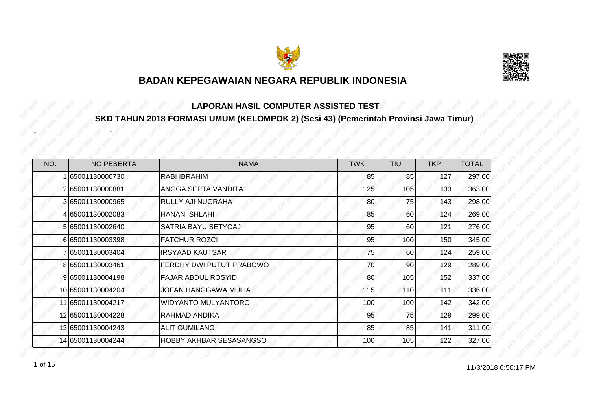



#### **LAPORAN HASIL COMPUTER ASSISTED TEST SKD TAHUN 2018 FORMASI UMUM (KELOMPOK 2) (Sesi 43) (Pemerintah Provinsi Jawa Timur)**

| NO. | <b>NO PESERTA</b> | <b>NAMA</b>                    | <b>TWK</b> | <b>TIU</b> | <b>TKP</b> | <b>TOTAL</b> |
|-----|-------------------|--------------------------------|------------|------------|------------|--------------|
|     | 65001130000730    | <b>RABI IBRAHIM</b>            | 85         | 85         | 127        | 297.00       |
|     | 265001130000881   | ANGGA SEPTA VANDITA            | 125        | 105        | 133        | 363.00       |
|     | 3 65001130000965  | RULLY AJI NUGRAHA              | 80         | 75         | 143        | 298.00       |
|     | 4 65001130002083  | <b>HANAN ISHLAHI</b>           | 85         | 60         | 124        | 269.00       |
|     | 5 65001130002640  | SATRIA BAYU SETYOAJI           | 95         | 60         | 121        | 276.00       |
|     | 665001130003398   | <b>FATCHUR ROZCI</b>           | 95         | 100        | 150        | 345.00       |
|     | 765001130003404   | <b>IRSYAAD KAUTSAR</b>         | 75         | 60         | 124        | 259.00       |
|     | 8 65001130003461  | FERDHY DWI PUTUT PRABOWO       | 70         | 90         | 129        | 289.00       |
|     | 9 65001130004198  | <b>FAJAR ABDUL ROSYID</b>      | 80         | 105        | 152        | 337.00       |
|     | 10 65001130004204 | <b>JOFAN HANGGAWA MULIA</b>    | 115        | 110        | 111        | 336.00       |
|     | 11 65001130004217 | <b>WIDYANTO MULYANTORO</b>     | 100        | 100        | 142        | 342.00       |
|     | 12 65001130004228 | RAHMAD ANDIKA                  | 95         | 75         | 129        | 299.00       |
|     | 13 65001130004243 | <b>ALIT GUMILANG</b>           | 85         | 85         | 141        | 311.00       |
|     | 14 65001130004244 | <b>HOBBY AKHBAR SESASANGSO</b> | 100        | 105        | 122        | 327.00       |

11/3/2018 6:50:17 PM 1 of 15

-

-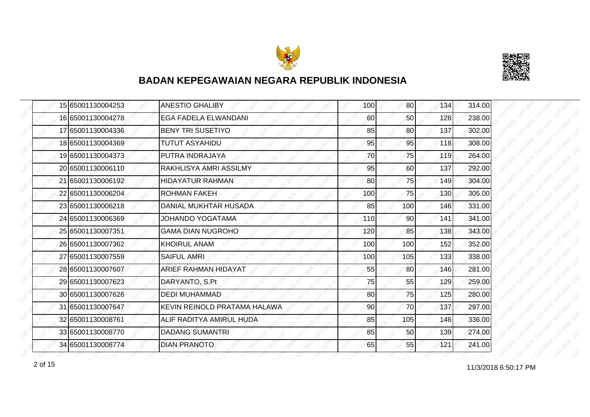



|  | 15 65001130004253 | <b>ANESTIO GHALIBY</b>       | 100 | 80 <sup>1</sup> | 134 | 314.00 |
|--|-------------------|------------------------------|-----|-----------------|-----|--------|
|  | 16 65001130004278 | <b>EGA FADELA ELWANDANI</b>  | 60  | 50              | 128 | 238.00 |
|  | 17 65001130004336 | <b>BENY TRI SUSETIYO</b>     | 85  | 80              | 137 | 302.00 |
|  | 18 65001130004369 | <b>TUTUT ASYAHIDU</b>        | 95  | 95              | 118 | 308.00 |
|  | 19 65001130004373 | PUTRA INDRAJAYA              | 70  | 75              | 119 | 264.00 |
|  | 20 65001130006110 | RAKHLISYA AMRI ASSILMY       | 95  | 60              | 137 | 292.00 |
|  | 21 65001130006192 | <b>HIDAYATUR RAHMAN</b>      | 80  | 75I             | 149 | 304.00 |
|  | 22 65001130006204 | <b>ROHMAN FAKEH</b>          | 100 | 75              | 130 | 305.00 |
|  | 23 65001130006218 | DANIAL MUKHTAR HUSADA        | 85  | 100             | 146 | 331.00 |
|  | 24 65001130006369 | <b>JOHANDO YOGATAMA</b>      | 110 | 90 <sub>l</sub> | 141 | 341.00 |
|  | 25 65001130007351 | <b>GAMA DIAN NUGROHO</b>     | 120 | 85              | 138 | 343.00 |
|  | 26 65001130007362 | <b>KHOIRUL ANAM</b>          | 100 | 100             | 152 | 352.00 |
|  | 27 65001130007559 | <b>SAIFUL AMRI</b>           | 100 | 105             | 133 | 338.00 |
|  | 28 65001130007607 | ARIEF RAHMAN HIDAYAT         | 55  | 80              | 146 | 281.00 |
|  | 29 65001130007623 | DARYANTO, S.Pt               | 75  | 55              | 129 | 259.00 |
|  | 30 65001130007626 | <b>DEDI MUHAMMAD</b>         | 80  | 75              | 125 | 280.00 |
|  | 31 65001130007647 | KEVIN REINOLD PRATAMA HALAWA | 90  | 70              | 137 | 297.00 |
|  | 32 65001130008761 | ALIF RADITYA AMIRUL HUDA     | 85  | 105             | 146 | 336.00 |
|  | 33 65001130008770 | <b>DADANG SUMANTRI</b>       | 85  | 50              | 139 | 274.00 |
|  | 34 65001130008774 | <b>DIAN PRANOTO</b>          | 65  | 55              | 121 | 241.00 |

11/3/2018 6:50:17 PM 2 of 15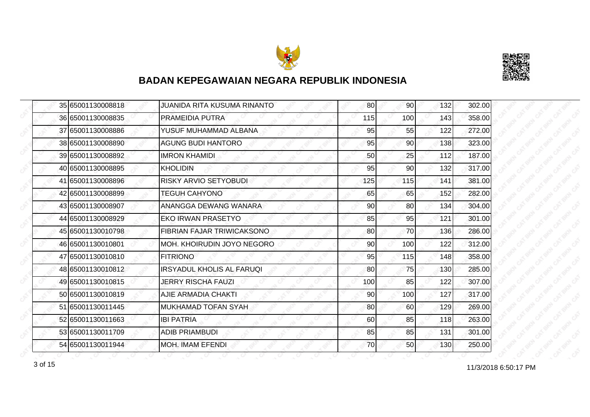



|  | 35 65001130008818 | JUANIDA RITA KUSUMA RINANTO      | 80  | 90  | 132 | 302.00 |
|--|-------------------|----------------------------------|-----|-----|-----|--------|
|  | 36 65001130008835 | PRAMEIDIA PUTRA                  | 115 | 100 | 143 | 358.00 |
|  | 37 65001130008886 | YUSUF MUHAMMAD ALBANA            | 95  | 55  | 122 | 272.00 |
|  | 38 65001130008890 | <b>AGUNG BUDI HANTORO</b>        | 95  | 90  | 138 | 323.00 |
|  | 39 65001130008892 | <b>IMRON KHAMIDI</b>             | 50  | 25  | 112 | 187.00 |
|  | 40 65001130008895 | <b>KHOLIDIN</b>                  | 95  | 90  | 132 | 317.00 |
|  | 41 65001130008896 | <b>RISKY ARVIO SETYOBUDI</b>     | 125 | 115 | 141 | 381.00 |
|  | 42 65001130008899 | <b>TEGUH CAHYONO</b>             | 65  | 65  | 152 | 282.00 |
|  | 43 65001130008907 | ANANGGA DEWANG WANARA            | 90  | 80  | 134 | 304.00 |
|  | 44 65001130008929 | <b>EKO IRWAN PRASETYO</b>        | 85  | 95  | 121 | 301.00 |
|  | 45 65001130010798 | FIBRIAN FAJAR TRIWICAKSONO       | 80  | 70  | 136 | 286.00 |
|  | 46 65001130010801 | MOH. KHOIRUDIN JOYO NEGORO       | 90  | 100 | 122 | 312.00 |
|  | 47 65001130010810 | <b>FITRIONO</b>                  | 95  | 115 | 148 | 358.00 |
|  | 48 65001130010812 | <b>IRSYADUL KHOLIS AL FARUQI</b> | 80  | 75  | 130 | 285.00 |
|  | 49 65001130010815 | <b>JERRY RISCHA FAUZI</b>        | 100 | 85  | 122 | 307.00 |
|  | 50 65001130010819 | AJIE ARMADIA CHAKTI              | 90  | 100 | 127 | 317.00 |
|  | 51 65001130011445 | <b>MUKHAMAD TOFAN SYAH</b>       | 80  | 60  | 129 | 269.00 |
|  | 52 65001130011663 | <b>IBI PATRIA</b>                | 60  | 85  | 118 | 263.00 |
|  | 53 65001130011709 | <b>ADIB PRIAMBUDI</b>            | 85  | 85  | 131 | 301.00 |
|  | 54 65001130011944 | <b>MOH. IMAM EFENDI</b>          | 70  | 50  | 130 | 250.00 |

11/3/2018 6:50:17 PM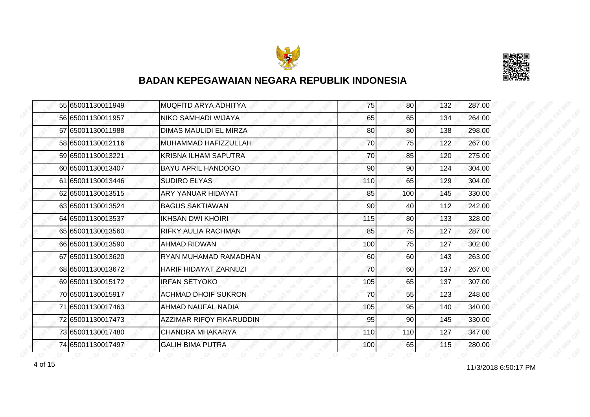



|  | 55 65001130011949 | <b>MUQFITD ARYA ADHITYA</b>     | 75  | 80 <sup>1</sup> | 132 | 287.00 |
|--|-------------------|---------------------------------|-----|-----------------|-----|--------|
|  | 56 65001130011957 | <b>NIKO SAMHADI WIJAYA</b>      | 65  | 65              | 134 | 264.00 |
|  | 57 65001130011988 | DIMAS MAULIDI EL MIRZA          | 80  | 80              | 138 | 298.00 |
|  | 58 65001130012116 | MUHAMMAD HAFIZZULLAH            | 70  | 75              | 122 | 267.00 |
|  | 59 65001130013221 | <b>KRISNA ILHAM SAPUTRA</b>     | 70  | 85              | 120 | 275.00 |
|  | 60 65001130013407 | BAYU APRIL HANDOGO              | 90  | 90              | 124 | 304.00 |
|  | 61 65001130013446 | <b>SUDIRO ELYAS</b>             | 110 | 65              | 129 | 304.00 |
|  | 62 65001130013515 | ARY YANUAR HIDAYAT              | 85  | 100             | 145 | 330.00 |
|  | 63 65001130013524 | <b>BAGUS SAKTIAWAN</b>          | 90  | 40              | 112 | 242.00 |
|  | 64 65001130013537 | <b>IKHSAN DWI KHOIRI</b>        | 115 | 80I             | 133 | 328.00 |
|  | 65 65001130013560 | RIFKY AULIA RACHMAN             | 85  | 75              | 127 | 287.00 |
|  | 66 65001130013590 | <b>AHMAD RIDWAN</b>             | 100 | 75              | 127 | 302.00 |
|  | 67 65001130013620 | RYAN MUHAMAD RAMADHAN           | 60  | 60              | 143 | 263.00 |
|  | 68 65001130013672 | HARIF HIDAYAT ZARNUZI           | 70  | 60I             | 137 | 267.00 |
|  | 69 65001130015172 | <b>IRFAN SETYOKO</b>            | 105 | 65              | 137 | 307.00 |
|  | 70 65001130015917 | <b>ACHMAD DHOIF SUKRON</b>      | 70  | 55              | 123 | 248.00 |
|  | 71 65001130017463 | AHMAD NAUFAL NADIA              | 105 | 95              | 140 | 340.00 |
|  | 72 65001130017473 | <b>AZZIMAR RIFQY FIKARUDDIN</b> | 95  | 90              | 145 | 330.00 |
|  | 73 65001130017480 | <b>CHANDRA MHAKARYA</b>         | 110 | 110             | 127 | 347.00 |
|  | 74 65001130017497 | <b>GALIH BIMA PUTRA</b>         | 100 | 65              | 115 | 280.00 |

11/3/2018 6:50:17 PM 4 of 15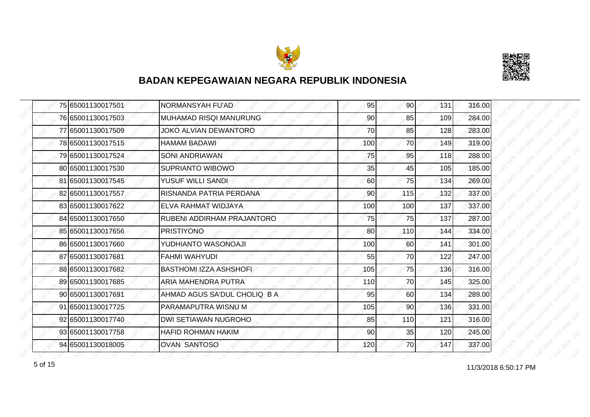



|  | 75 65001130017501 | NORMANSYAH FU'AD             | 95  | 90  | 131 | 316.00 |
|--|-------------------|------------------------------|-----|-----|-----|--------|
|  | 76 65001130017503 | MUHAMAD RISQI MANURUNG       | 90  | 85  | 109 | 284.00 |
|  | 77 65001130017509 | JOKO ALVIAN DEWANTORO        | 70  | 85  | 128 | 283.00 |
|  | 78 65001130017515 | <b>HAMAM BADAWI</b>          | 100 | 70  | 149 | 319.00 |
|  | 79 65001130017524 | <b>SONI ANDRIAWAN</b>        | 75  | 95  | 118 | 288.00 |
|  | 80 65001130017530 | <b>SUPRIANTO WIBOWO</b>      | 35  | 45  | 105 | 185.00 |
|  | 81 65001130017545 | YUSUF WILLI SANDI            | 60  | 75I | 134 | 269.00 |
|  | 82 65001130017557 | RISNANDA PATRIA PERDANA      | 90  | 115 | 132 | 337.00 |
|  | 83 65001130017622 | ELVA RAHMAT WIDJAYA          | 100 | 100 | 137 | 337.00 |
|  | 84 65001130017650 | RUBENI ADDIRHAM PRAJANTORO   | 75  | 75  | 137 | 287.00 |
|  | 85 65001130017656 | <b>PRISTIYONO</b>            | 80  | 110 | 144 | 334.00 |
|  | 86 65001130017660 | YUDHIANTO WASONOAJI          | 100 | 60  | 141 | 301.00 |
|  | 87 65001130017681 | <b>FAHMI WAHYUDI</b>         | 55  | 70  | 122 | 247.00 |
|  | 88 65001130017682 | BASTHOMI IZZA ASHSHOFI       | 105 | 75  | 136 | 316.00 |
|  | 89 65001130017685 | ARIA MAHENDRA PUTRA          | 110 | 70  | 145 | 325.00 |
|  | 90 65001130017691 | AHMAD AGUS SA'DUL CHOLIQ B A | 95  | 60  | 134 | 289.00 |
|  | 91 65001130017725 | PARAMAPUTRA WISNU M          | 105 | 90  | 136 | 331.00 |
|  | 92 65001130017740 | DWI SETIAWAN NUGROHO         | 85  | 110 | 121 | 316.00 |
|  | 93 65001130017758 | <b>HAFID ROHMAN HAKIM</b>    | 90  | 35  | 120 | 245.00 |
|  | 94 65001130018005 | <b>OVAN SANTOSO</b>          | 120 | 70I | 147 | 337.00 |

f of 15 of 15 of 15 of 15 of 15 of 15 of 16 of 17 PM states and the states of 11/3/2018 6:50:17 PM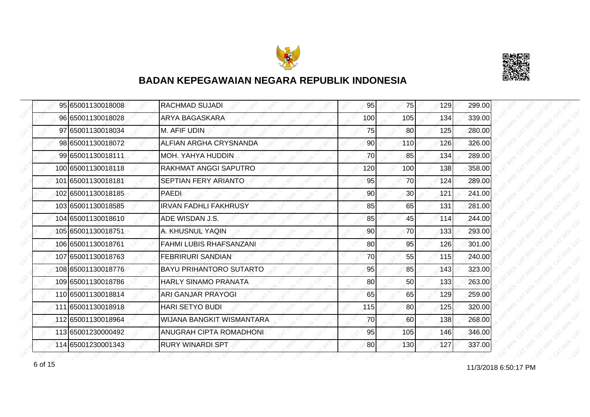



| 95 65001130018008  | <b>RACHMAD SUJADI</b>          | 95  | 75              | 129 | 299.00 |
|--------------------|--------------------------------|-----|-----------------|-----|--------|
| 96 65001130018028  | ARYA BAGASKARA                 | 100 | 105             | 134 | 339.00 |
| 97 65001130018034  | M. AFIF UDIN                   | 75  | 80              | 125 | 280.00 |
| 98 65001130018072  | ALFIAN ARGHA CRYSNANDA         | 90  | 110             | 126 | 326.00 |
| 99 65001130018111  | MOH. YAHYA HUDDIN              | 70  | 85              | 134 | 289.00 |
| 100 65001130018118 | RAKHMAT ANGGI SAPUTRO          | 120 | 100             | 138 | 358.00 |
| 101 65001130018181 | SEPTIAN FERY ARIANTO           | 95  | 70I             | 124 | 289.00 |
| 102 65001130018185 | PAEDI                          | 90  | 30 <sub>l</sub> | 121 | 241.00 |
| 103 65001130018585 | <b>IRVAN FADHLI FAKHRUSY</b>   | 85  | 65              | 131 | 281.00 |
| 104 65001130018610 | ADE WISDAN J.S.                | 85  | 45              | 114 | 244.00 |
| 105 65001130018751 | A. KHUSNUL YAQIN               | 90  | 70              | 133 | 293.00 |
| 106 65001130018761 | <b>FAHMI LUBIS RHAFSANZANI</b> | 80  | 95              | 126 | 301.00 |
| 107 65001130018763 | <b>FEBRIRURI SANDIAN</b>       | 70  | 55              | 115 | 240.00 |
| 108 65001130018776 | <b>BAYU PRIHANTORO SUTARTO</b> | 95  | 85              | 143 | 323.00 |
| 109 65001130018786 | HARLY SINAMO PRANATA           | 80  | 50              | 133 | 263.00 |
| 110 65001130018814 | <b>ARI GANJAR PRAYOGI</b>      | 65  | 65              | 129 | 259.00 |
| 111 65001130018918 | <b>HARI SETYO BUDI</b>         | 115 | 80              | 125 | 320.00 |
| 112 65001130018964 | WIJANA BANGKIT WISMANTARA      | 70  | 60              | 138 | 268.00 |
| 113 65001230000492 | ANUGRAH CIPTA ROMADHONI        | 95  | 105             | 146 | 346.00 |
| 114 65001230001343 | <b>RURY WINARDI SPT</b>        | 80  | 130             | 127 | 337.00 |

for the 11/3/2018 6:50:17 PM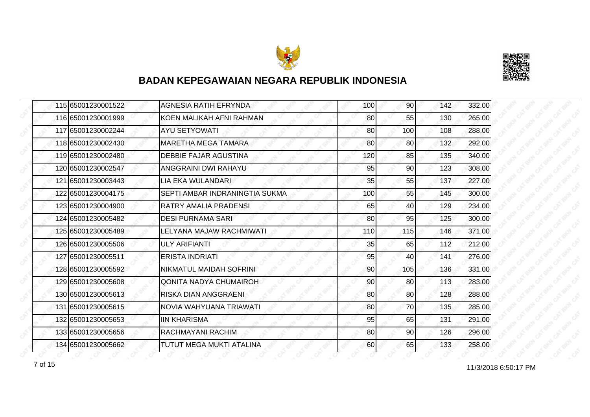



| 115 65001230001522 | <b>AGNESIA RATIH EFRYNDA</b>   | 100 | 90 <sub>l</sub> | 142 | 332.00 |
|--------------------|--------------------------------|-----|-----------------|-----|--------|
| 116 65001230001999 | KOEN MALIKAH AFNI RAHMAN       | 80  | 55              | 130 | 265.00 |
| 117 65001230002244 | <b>AYU SETYOWATI</b>           | 80  | 100             | 108 | 288.00 |
| 118 65001230002430 | MARETHA MEGA TAMARA            | 80  | <b>80</b>       | 132 | 292.00 |
| 119 65001230002480 | DEBBIE FAJAR AGUSTINA          | 120 | 85              | 135 | 340.00 |
| 120165001230002547 | ANGGRAINI DWI RAHAYU           | 95  | 90              | 123 | 308.00 |
| 121 65001230003443 | LIA EKA WULANDARI              | 35  | 55              | 137 | 227.00 |
| 122165001230004175 | SEPTI AMBAR INDRANINGTIA SUKMA | 100 | 55              | 145 | 300.00 |
| 123165001230004900 | RATRY AMALIA PRADENSI          | 65  | 40              | 129 | 234.00 |
| 124 65001230005482 | <b>DESI PURNAMA SARI</b>       | 80  | 95              | 125 | 300.00 |
| 125 65001230005489 | LELYANA MAJAW RACHMIWATI       | 110 | 115             | 146 | 371.00 |
| 126 65001230005506 | ULY ARIFIANTI                  | 35  | 65              | 112 | 212.00 |
| 127 65001230005511 | <b>ERISTA INDRIATI</b>         | 95  | 40              | 141 | 276.00 |
| 128 65001230005592 | NIKMATUL MAIDAH SOFRINI        | 90  | 105             | 136 | 331.00 |
| 129 65001230005608 | <b>QONITA NADYA CHUMAIROH</b>  | 90  | 80              | 113 | 283.00 |
| 130 65001230005613 | RISKA DIAN ANGGRAENI           | 80  | 80              | 128 | 288.00 |
| 131 65001230005615 | NOVIA WAHYUANA TRIAWATI        | 80  | 70              | 135 | 285.00 |
| 132 65001230005653 | <b>IIN KHARISMA</b>            | 95  | 65              | 131 | 291.00 |
| 133 65001230005656 | RACHMAYANI RACHIM              | 80  | 90              | 126 | 296.00 |
| 134 65001230005662 | TUTUT MEGA MUKTI ATALINA       | 60  | 65              | 133 | 258.00 |

11/3/2018 6:50:17 PM 7 of 15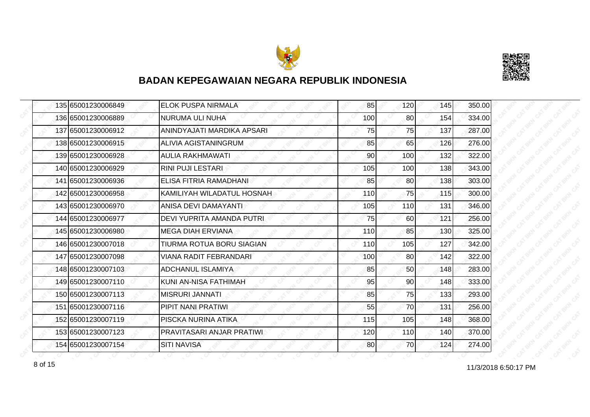



|  | 135 65001230006849 | <b>ELOK PUSPA NIRMALA</b>     | 85  | 120             | 145 | 350.00 |
|--|--------------------|-------------------------------|-----|-----------------|-----|--------|
|  | 136 65001230006889 | NURUMA ULI NUHA               | 100 | 80              | 154 | 334.00 |
|  | 137165001230006912 | ANINDYAJATI MARDIKA APSARI    | 75  | 75              | 137 | 287.00 |
|  | 138 65001230006915 | <b>ALIVIA AGISTANINGRUM</b>   | 85  | 65              | 126 | 276.00 |
|  | 139 65001230006928 | <b>AULIA RAKHMAWATI</b>       | 90  | 100             | 132 | 322.00 |
|  | 140 65001230006929 | <b>RINI PUJI LESTARI</b>      | 105 | 100             | 138 | 343.00 |
|  | 141 65001230006936 | ELISA FITRIA RAMADHANI        | 85  | 80 <sup>1</sup> | 138 | 303.00 |
|  | 142 65001230006958 | KAMILIYAH WILADATUL HOSNAH    | 110 | 75              | 115 | 300.00 |
|  | 143165001230006970 | ANISA DEVI DAMAYANTI          | 105 | 110             | 131 | 346.00 |
|  | 144 65001230006977 | DEVI YUPRITA AMANDA PUTRI     | 75  | 60              | 121 | 256.00 |
|  | 145 65001230006980 | <b>MEGA DIAH ERVIANA</b>      | 110 | 85              | 130 | 325.00 |
|  | 146 65001230007018 | TIURMA ROTUA BORU SIAGIAN     | 110 | 105             | 127 | 342.00 |
|  | 147 65001230007098 | <b>VIANA RADIT FEBRANDARI</b> | 100 | 80              | 142 | 322.00 |
|  | 148 65001230007103 | ADCHANUL ISLAMIYA             | 85  | 50              | 148 | 283.00 |
|  | 149 65001230007110 | KUNI AN-NISA FATHIMAH         | 95  | 90 <sup>1</sup> | 148 | 333.00 |
|  | 150 65001230007113 | <b>MISRURI JANNATI</b>        | 85  | 75              | 133 | 293.00 |
|  | 151 65001230007116 | PIPIT NANI PRATIWI            | 55  | 70              | 131 | 256.00 |
|  | 152165001230007119 | PISCKA NURINA ATIKA           | 115 | 105             | 148 | 368.00 |
|  | 153 65001230007123 | PRAVITASARI ANJAR PRATIWI     | 120 | <b>110</b>      | 140 | 370.00 |
|  | 154 65001230007154 | <b>SITI NAVISA</b>            | 80  | 70I             | 124 | 274.00 |

8 of 15 **11/3/2018 6:50:17 PM**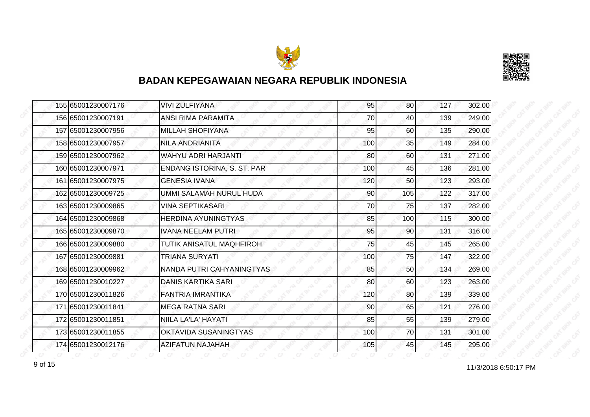



|  | 155 65001230007176 | <b>VIVI ZULFIYANA</b>       | 95  | 80              | 127 | 302.00 |
|--|--------------------|-----------------------------|-----|-----------------|-----|--------|
|  | 156 65001230007191 | <b>ANSI RIMA PARAMITA</b>   | 70  | 40              | 139 | 249.00 |
|  | 157 65001230007956 | MILLAH SHOFIYANA            | 95  | 60              | 135 | 290.00 |
|  | 158 65001230007957 | <b>NILA ANDRIANITA</b>      | 100 | 35              | 149 | 284.00 |
|  | 159 65001230007962 | WAHYU ADRI HARJANTI         | 80  | 60              | 131 | 271.00 |
|  | 160165001230007971 | ENDANG ISTORINA, S. ST. PAR | 100 | 45              | 136 | 281.00 |
|  | 161 65001230007975 | <b>GENESIA IVANA</b>        | 120 | 50              | 123 | 293.00 |
|  | 162 65001230009725 | UMMI SALAMAH NURUL HUDA     | 90  | 105             | 122 | 317.00 |
|  | 163 65001230009865 | VINA SEPTIKASARI            | 70  | 75              | 137 | 282.00 |
|  | 164 65001230009868 | <b>HERDINA AYUNINGTYAS</b>  | 85  | 100             | 115 | 300.00 |
|  | 165 65001230009870 | <b>IVANA NEELAM PUTRI</b>   | 95  | 90              | 131 | 316.00 |
|  | 166 65001230009880 | TUTIK ANISATUL MAQHFIROH    | 75  | 45              | 145 | 265.00 |
|  | 167 65001230009881 | TRIANA SURYATI              | 100 | 75              | 147 | 322.00 |
|  | 168 65001230009962 | NANDA PUTRI CAHYANINGTYAS   | 85  | 50 <sup>1</sup> | 134 | 269.00 |
|  | 169 65001230010227 | <b>DANIS KARTIKA SARI</b>   | 80  | 60              | 123 | 263.00 |
|  | 170 65001230011826 | <b>FANTRIA IMRANTIKA</b>    | 120 | 80 <sup>1</sup> | 139 | 339.00 |
|  | 171 65001230011841 | <b>MEGA RATNA SARI</b>      | 90  | 65              | 121 | 276.00 |
|  | 172 65001230011851 | NIILA LA'LA' HAYATI         | 85  | 55              | 139 | 279.00 |
|  | 173 65001230011855 | OKTAVIDA SUSANINGTYAS       | 100 | 70              | 131 | 301.00 |
|  | 174 65001230012176 | <b>AZIFATUN NAJAHAH</b>     | 105 | 45              | 145 | 295.00 |

11/3/2018 6:50:17 PM 9 of 15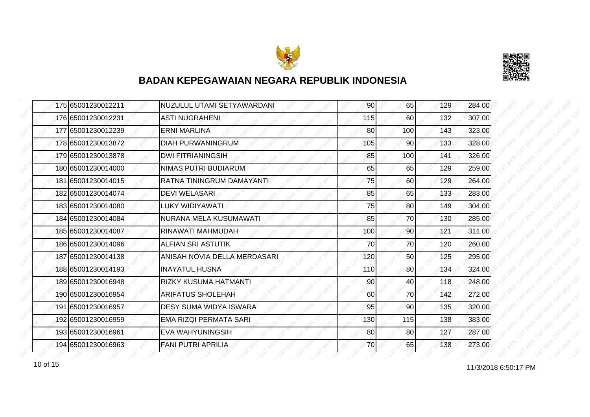



|  | 175 65001230012211 | NUZULUL UTAMI SETYAWARDANI    | 90  | 65              | 129 | 284.00 |
|--|--------------------|-------------------------------|-----|-----------------|-----|--------|
|  | 176 65001230012231 | <b>ASTI NUGRAHENI</b>         | 115 | 60              | 132 | 307.00 |
|  | 177 65001230012239 | <b>ERNI MARLINA</b>           | 80  | 100             | 143 | 323.00 |
|  | 178 65001230013872 | <b>DIAH PURWANINGRUM</b>      | 105 | 90              | 133 | 328.00 |
|  | 179 65001230013878 | <b>DWI FITRIANINGSIH</b>      | 85  | 100             | 141 | 326.00 |
|  | 180 65001230014000 | NIMAS PUTRI BUDIARUM          | 65  | 65              | 129 | 259.00 |
|  | 181 65001230014015 | RATNA TININGRUM DAMAYANTI     | 75  | 60              | 129 | 264.00 |
|  | 182 65001230014074 | <b>DEVI WELASARI</b>          | 85  | 65              | 133 | 283.00 |
|  | 183 65001230014080 | LUKY WIDIYAWATI               | 75  | 80              | 149 | 304.00 |
|  | 184 65001230014084 | NURANA MELA KUSUMAWATI        | 85  | 70              | 130 | 285.00 |
|  | 185 65001230014087 | RINAWATI MAHMUDAH             | 100 | 90 <sup>1</sup> | 121 | 311.00 |
|  | 186 65001230014096 | <b>ALFIAN SRI ASTUTIK</b>     | 70  | 70              | 120 | 260.00 |
|  | 187 65001230014138 | ANISAH NOVIA DELLA MERDASARI  | 120 | 50              | 125 | 295.00 |
|  | 188 65001230014193 | <b>INAYATUL HUSNA</b>         | 110 | 80              | 134 | 324.00 |
|  | 189 65001230016948 | <b>RIZKY KUSUMA HATMANTI</b>  | 90  | 40              | 118 | 248.00 |
|  | 190 65001230016954 | <b>ARIFATUS SHOLEHAH</b>      | 60  | 70              | 142 | 272.00 |
|  | 191 65001230016957 | <b>DESY SUMA WIDYA ISWARA</b> | 95  | 90              | 135 | 320.00 |
|  | 192 65001230016959 | EMA RIZQI PERMATA SARI        | 130 | 115             | 138 | 383.00 |
|  | 193 65001230016961 | <b>EVA WAHYUNINGSIH</b>       | 80  | 80              | 127 | 287.00 |
|  | 194 65001230016963 | <b>FANI PUTRI APRILIA</b>     | 70  | 65              | 138 | 273.00 |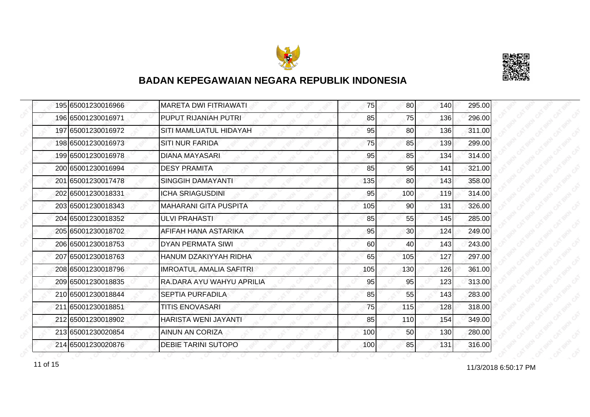



| 195 65001230016966 | <b>MARETA DWI FITRIAWATI</b> | 75  | 80              | 140 | 295.00 |
|--------------------|------------------------------|-----|-----------------|-----|--------|
| 196 65001230016971 | PUPUT RIJANIAH PUTRI         | 85  | 75              | 136 | 296.00 |
| 197 65001230016972 | SITI MAMLUATUL HIDAYAH       | 95  | 80              | 136 | 311.00 |
| 198 65001230016973 | <b>SITI NUR FARIDA</b>       | 75  | 85              | 139 | 299.00 |
| 199 65001230016978 | <b>DIANA MAYASARI</b>        | 95  | 85              | 134 | 314.00 |
| 200 65001230016994 | <b>DESY PRAMITA</b>          | 85  | 95              | 141 | 321.00 |
| 201 65001230017478 | <b>SINGGIH DAMAYANTI</b>     | 135 | 80              | 143 | 358.00 |
| 202 65001230018331 | <b>ICHA SRIAGUSDINI</b>      | 95  | 100             | 119 | 314.00 |
| 203 65001230018343 | <b>MAHARANI GITA PUSPITA</b> | 105 | 90              | 131 | 326.00 |
| 204 65001230018352 | ULVI PRAHASTI                | 85  | 55              | 145 | 285.00 |
| 205 65001230018702 | AFIFAH HANA ASTARIKA         | 95  | 30 <sup>1</sup> | 124 | 249.00 |
| 206 65001230018753 | <b>DYAN PERMATA SIWI</b>     | 60  | 40              | 143 | 243.00 |
| 207 65001230018763 | HANUM DZAKIYYAH RIDHA        | 65  | 105             | 127 | 297.00 |
| 208 65001230018796 | IMROATUL AMALIA SAFITRI      | 105 | 130             | 126 | 361.00 |
| 209 65001230018835 | RA.DARA AYU WAHYU APRILIA    | 95  | 95              | 123 | 313.00 |
| 210 65001230018844 | <b>SEPTIA PURFADILA</b>      | 85  | 55              | 143 | 283.00 |
| 211 65001230018851 | <b>TITIS ENOVASARI</b>       | 75  | 115             | 128 | 318.00 |
| 212 65001230018902 | HARISTA WENI JAYANTI         | 85  | 110             | 154 | 349.00 |
| 213 65001230020854 | <b>AINUN AN CORIZA</b>       | 100 | 50              | 130 | 280.00 |
| 214 65001230020876 | DEBIE TARINI SUTOPO          | 100 | 85              | 131 | 316.00 |

11/3/2018 6:50:17 PM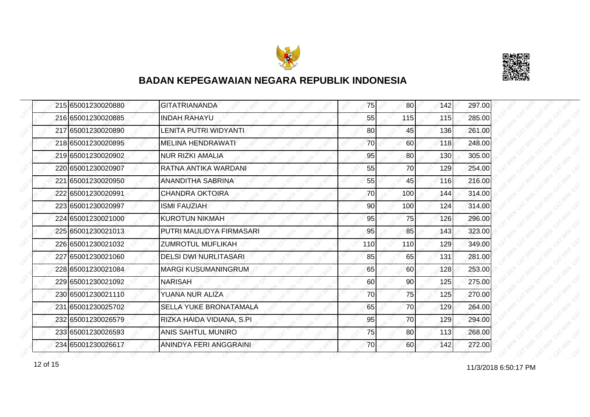



| 215 65001230020880 | <b>GITATRIANANDA</b>         | 75  | 80  | 142 | 297.00 |
|--------------------|------------------------------|-----|-----|-----|--------|
| 216 65001230020885 | <b>INDAH RAHAYU</b>          | 55  | 115 | 115 | 285.00 |
| 217 65001230020890 | LENITA PUTRI WIDYANTI        | 80  | 45  | 136 | 261.00 |
| 218 65001230020895 | MELINA HENDRAWATI            | 70  | 60  | 118 | 248.00 |
| 219 65001230020902 | <b>NUR RIZKI AMALIA</b>      | 95  | 80  | 130 | 305.00 |
| 220 65001230020907 | RATNA ANTIKA WARDANI         | 55  | 70  | 129 | 254.00 |
| 221 65001230020950 | ANANDITHA SABRINA            | 55  | 45  | 116 | 216.00 |
| 222 65001230020991 | ICHANDRA OKTOIRA             | 70  | 100 | 144 | 314.00 |
| 223165001230020997 | <b>ISMI FAUZIAH</b>          | 90  | 100 | 124 | 314.00 |
| 224 65001230021000 | <b>KUROTUN NIKMAH</b>        | 95  | 75  | 126 | 296.00 |
| 225 65001230021013 | PUTRI MAULIDYA FIRMASARI     | 95  | 85  | 143 | 323.00 |
| 226165001230021032 | <b>ZUMROTUL MUFLIKAH</b>     | 110 | 110 | 129 | 349.00 |
| 227 65001230021060 | <b>DELSI DWI NURLITASARI</b> | 85  | 65  | 131 | 281.00 |
| 228 65001230021084 | <b>MARGI KUSUMANINGRUM</b>   | 65  | 60  | 128 | 253.00 |
| 229 65001230021092 | <b>NARISAH</b>               | 60  | 90  | 125 | 275.00 |
| 230 65001230021110 | YUANA NUR ALIZA              | 70  | 75  | 125 | 270.00 |
| 231 65001230025702 | SELLA YUKE BRONATAMALA       | 65  | 70  | 129 | 264.00 |
| 232165001230026579 | RIZKA HAIDA VIDIANA, S.PI    | 95  | 70  | 129 | 294.00 |
| 233 65001230026593 | <b>ANIS SAHTUL MUNIRO</b>    | 75  | 80  | 113 | 268.00 |
| 234 65001230026617 | ANINDYA FERI ANGGRAINI       | 70  | 60  | 142 | 272.00 |

11/3/2018 6:50:17 PM 12 of 15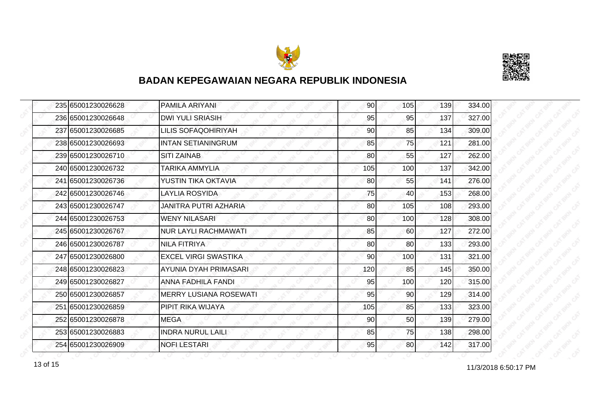



|  | 235 65001230026628 | <b>PAMILA ARIYANI</b>         | 90  | 105 | 139 | 334.00 |
|--|--------------------|-------------------------------|-----|-----|-----|--------|
|  | 236 65001230026648 | <b>DWI YULI SRIASIH</b>       | 95  | 95  | 137 | 327.00 |
|  | 237 65001230026685 | LILIS SOFAQOHIRIYAH           | 90  | 85  | 134 | 309.00 |
|  | 238 65001230026693 | <b>INTAN SETIANINGRUM</b>     | 85  | 75  | 121 | 281.00 |
|  | 239 65001230026710 | <b>SITI ZAINAB</b>            | 80  | 55  | 127 | 262.00 |
|  | 240 65001230026732 | TARIKA AMMYLIA                | 105 | 100 | 137 | 342.00 |
|  | 241 65001230026736 | YUSTIN TIKA OKTAVIA           | 80  | 55  | 141 | 276.00 |
|  | 242 65001230026746 | LAYLIA ROSYIDA                | 75  | 40  | 153 | 268.00 |
|  | 243 65001230026747 | JANITRA PUTRI AZHARIA         | 80  | 105 | 108 | 293.00 |
|  | 244 65001230026753 | <b>WENY NILASARI</b>          | 80  | 100 | 128 | 308.00 |
|  | 245 65001230026767 | <b>NUR LAYLI RACHMAWATI</b>   | 85  | 60  | 127 | 272.00 |
|  | 246 65001230026787 | <b>NILA FITRIYA</b>           | 80  | 80  | 133 | 293.00 |
|  | 247 65001230026800 | <b>EXCEL VIRGI SWASTIKA</b>   | 90  | 100 | 131 | 321.00 |
|  | 248 65001230026823 | AYUNIA DYAH PRIMASARI         | 120 | 85  | 145 | 350.00 |
|  | 249 65001230026827 | <b>ANNA FADHILA FANDI</b>     | 95  | 100 | 120 | 315.00 |
|  | 250 65001230026857 | <b>MERRY LUSIANA ROSEWATI</b> | 95  | 90  | 129 | 314.00 |
|  | 251 65001230026859 | PIPIT RIKA WIJAYA             | 105 | 85  | 133 | 323.00 |
|  | 252 65001230026878 | <b>MEGA</b>                   | 90  | 50  | 139 | 279.00 |
|  | 253 65001230026883 | <b>INDRA NURUL LAILI</b>      | 85  | 75  | 138 | 298.00 |
|  | 254 65001230026909 | <b>NOFI LESTARI</b>           | 95  | 80  | 142 | 317.00 |

13 of 15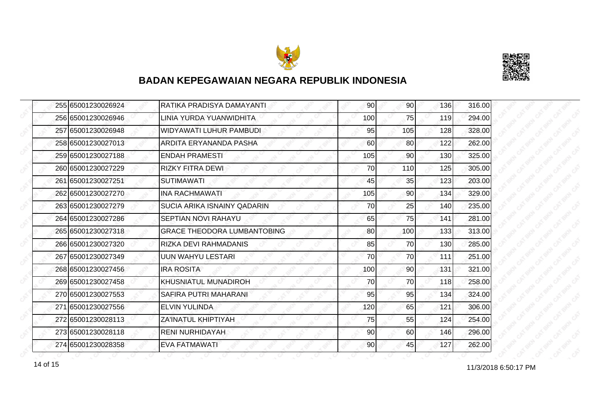



|  | 255 65001230026924 | RATIKA PRADISYA DAMAYANTI          | 90  | 90 <sub>l</sub> | 136 | 316.00 |
|--|--------------------|------------------------------------|-----|-----------------|-----|--------|
|  | 256 65001230026946 | LINIA YURDA YUANWIDHITA            | 100 | 75              | 119 | 294.00 |
|  | 257165001230026948 | WIDYAWATI LUHUR PAMBUDI            | 95  | 105             | 128 | 328.00 |
|  | 258 65001230027013 | ARDITA ERYANANDA PASHA             | 60  | 80              | 122 | 262.00 |
|  | 259 65001230027188 | <b>ENDAH PRAMESTI</b>              | 105 | 90              | 130 | 325.00 |
|  | 260165001230027229 | <b>RIZKY FITRA DEWL</b>            | 70  | 110             | 125 | 305.00 |
|  | 261 65001230027251 | <b>SUTIMAWATI</b>                  | 45  | 35              | 123 | 203.00 |
|  | 262 65001230027270 | <b>INA RACHMAWATI</b>              | 105 | 90              | 134 | 329.00 |
|  | 263 65001230027279 | SUCIA ARIKA ISNAINY QADARIN        | 70  | 25              | 140 | 235.00 |
|  | 264 65001230027286 | SEPTIAN NOVI RAHAYU                | 65  | 75              | 141 | 281.00 |
|  | 265 65001230027318 | <b>GRACE THEODORA LUMBANTOBING</b> | 80  | 100             | 133 | 313.00 |
|  | 266165001230027320 | RIZKA DEVI RAHMADANIS              | 85  | 70              | 130 | 285.00 |
|  | 267 65001230027349 | <b>UUN WAHYU LESTARI</b>           | 70  | 70              | 111 | 251.00 |
|  | 268 65001230027456 | <b>IRA ROSITA</b>                  | 100 | 90              | 131 | 321.00 |
|  | 269 65001230027458 | <b>KHUSNIATUL MUNADIROH</b>        | 70  | 70              | 118 | 258.00 |
|  | 270 65001230027553 | SAFIRA PUTRI MAHARANI              | 95  | 95              | 134 | 324.00 |
|  | 271 65001230027556 | <b>ELVIN YULINDA</b>               | 120 | 65              | 121 | 306.00 |
|  | 272165001230028113 | <b>ZA'INATUL KHIPTIYAH</b>         | 75  | 55              | 124 | 254.00 |
|  | 273 65001230028118 | <b>RENI NURHIDAYAH</b>             | 90  | 60              | 146 | 296.00 |
|  | 274 65001230028358 | <b>EVA FATMAWATI</b>               | 90  | 45              | 127 | 262.00 |

14 of 15<br>11/3/2018 6:50:17 PM